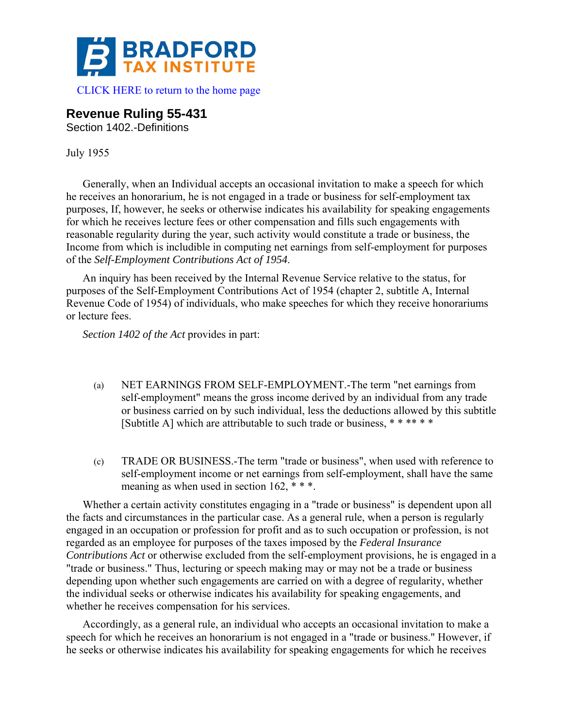

## **Revenue Ruling 55-431**

Section 1402.-Definitions

## July 1955

Generally, when an Individual accepts an occasional invitation to make a speech for which he receives an honorarium, he is not engaged in a trade or business for self-employment tax purposes, If, however, he seeks or otherwise indicates his availability for speaking engagements for which he receives lecture fees or other compensation and fills such engagements with reasonable regularity during the year, such activity would constitute a trade or business, the Income from which is includible in computing net earnings from self-employment for purposes of the *Self-Employment Contributions Act of 1954*.

An inquiry has been received by the Internal Revenue Service relative to the status, for purposes of the Self-Employment Contributions Act of 1954 (chapter 2, subtitle A, Internal Revenue Code of 1954) of individuals, who make speeches for which they receive honorariums or lecture fees.

*Section 1402 of the Act* provides in part:

- (a) NET EARNINGS FROM SELF-EMPLOYMENT.-The term "net earnings from self-employment" means the gross income derived by an individual from any trade or business carried on by such individual, less the deductions allowed by this subtitle [Subtitle A] which are attributable to such trade or business, \*\*\*\*\*\*
- (c) TRADE OR BUSINESS.-The term "trade or business", when used with reference to self-employment income or net earnings from self-employment, shall have the same meaning as when used in section 162, \*\*\*.

Whether a certain activity constitutes engaging in a "trade or business" is dependent upon all the facts and circumstances in the particular case. As a general rule, when a person is regularly engaged in an occupation or profession for profit and as to such occupation or profession, is not regarded as an employee for purposes of the taxes imposed by the *Federal Insurance Contributions Act* or otherwise excluded from the self-employment provisions, he is engaged in a "trade or business." Thus, lecturing or speech making may or may not be a trade or business depending upon whether such engagements are carried on with a degree of regularity, whether the individual seeks or otherwise indicates his availability for speaking engagements, and whether he receives compensation for his services.

Accordingly, as a general rule, an individual who accepts an occasional invitation to make a speech for which he receives an honorarium is not engaged in a "trade or business." However, if he seeks or otherwise indicates his availability for speaking engagements for which he receives